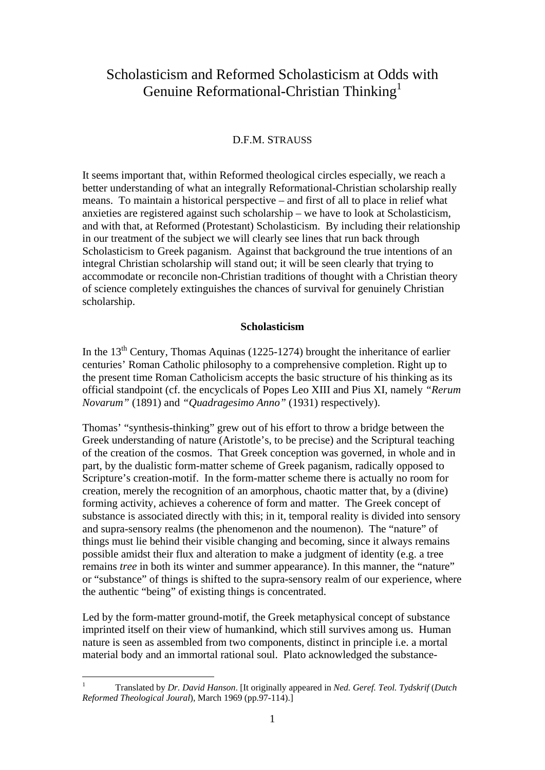# Scholasticism and Reformed Scholasticism at Odds with Genuine Reformational-Christian Thinking<sup>1</sup>

# D.F.M. STRAUSS

It seems important that, within Reformed theological circles especially, we reach a better understanding of what an integrally Reformational-Christian scholarship really means. To maintain a historical perspective – and first of all to place in relief what anxieties are registered against such scholarship – we have to look at Scholasticism, and with that, at Reformed (Protestant) Scholasticism. By including their relationship in our treatment of the subject we will clearly see lines that run back through Scholasticism to Greek paganism. Against that background the true intentions of an integral Christian scholarship will stand out; it will be seen clearly that trying to accommodate or reconcile non-Christian traditions of thought with a Christian theory of science completely extinguishes the chances of survival for genuinely Christian scholarship.

# **Scholasticism**

In the  $13<sup>th</sup>$  Century, Thomas Aquinas (1225-1274) brought the inheritance of earlier centuries' Roman Catholic philosophy to a comprehensive completion. Right up to the present time Roman Catholicism accepts the basic structure of his thinking as its official standpoint (cf. the encyclicals of Popes Leo XIII and Pius XI, namely *"Rerum Novarum"* (1891) and *"Quadragesimo Anno"* (1931) respectively).

Thomas' "synthesis-thinking" grew out of his effort to throw a bridge between the Greek understanding of nature (Aristotle's, to be precise) and the Scriptural teaching of the creation of the cosmos. That Greek conception was governed, in whole and in part, by the dualistic form-matter scheme of Greek paganism, radically opposed to Scripture's creation-motif. In the form-matter scheme there is actually no room for creation, merely the recognition of an amorphous, chaotic matter that, by a (divine) forming activity, achieves a coherence of form and matter. The Greek concept of substance is associated directly with this; in it, temporal reality is divided into sensory and supra-sensory realms (the phenomenon and the noumenon). The "nature" of things must lie behind their visible changing and becoming, since it always remains possible amidst their flux and alteration to make a judgment of identity (e.g. a tree remains *tree* in both its winter and summer appearance). In this manner, the "nature" or "substance" of things is shifted to the supra-sensory realm of our experience, where the authentic "being" of existing things is concentrated.

Led by the form-matter ground-motif, the Greek metaphysical concept of substance imprinted itself on their view of humankind, which still survives among us. Human nature is seen as assembled from two components, distinct in principle i.e. a mortal material body and an immortal rational soul. Plato acknowledged the substance-

 $\frac{1}{1}$  Translated by *Dr. David Hanson*. [It originally appeared in *Ned. Geref. Teol. Tydskrif* (*Dutch Reformed Theological Joural*), March 1969 (pp.97-114).]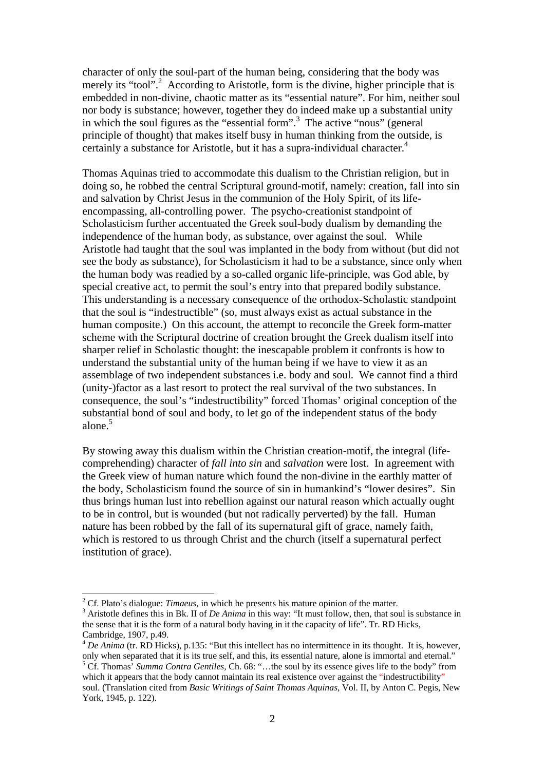character of only the soul-part of the human being, considering that the body was merely its "tool".<sup>2</sup> According to Aristotle, form is the divine, higher principle that is embedded in non-divine, chaotic matter as its "essential nature". For him, neither soul nor body is substance; however, together they do indeed make up a substantial unity in which the soul figures as the "essential form".<sup>3</sup> The active "nous" (general principle of thought) that makes itself busy in human thinking from the outside, is certainly a substance for Aristotle, but it has a supra-individual character.<sup>4</sup>

Thomas Aquinas tried to accommodate this dualism to the Christian religion, but in doing so, he robbed the central Scriptural ground-motif, namely: creation, fall into sin and salvation by Christ Jesus in the communion of the Holy Spirit, of its lifeencompassing, all-controlling power. The psycho-creationist standpoint of Scholasticism further accentuated the Greek soul-body dualism by demanding the independence of the human body, as substance, over against the soul. While Aristotle had taught that the soul was implanted in the body from without (but did not see the body as substance), for Scholasticism it had to be a substance, since only when the human body was readied by a so-called organic life-principle, was God able, by special creative act, to permit the soul's entry into that prepared bodily substance. This understanding is a necessary consequence of the orthodox-Scholastic standpoint that the soul is "indestructible" (so, must always exist as actual substance in the human composite.) On this account, the attempt to reconcile the Greek form-matter scheme with the Scriptural doctrine of creation brought the Greek dualism itself into sharper relief in Scholastic thought: the inescapable problem it confronts is how to understand the substantial unity of the human being if we have to view it as an assemblage of two independent substances i.e. body and soul. We cannot find a third (unity-)factor as a last resort to protect the real survival of the two substances. In consequence, the soul's "indestructibility" forced Thomas' original conception of the substantial bond of soul and body, to let go of the independent status of the body alone.<sup>5</sup>

By stowing away this dualism within the Christian creation-motif, the integral (lifecomprehending) character of *fall into sin* and *salvation* were lost. In agreement with the Greek view of human nature which found the non-divine in the earthly matter of the body, Scholasticism found the source of sin in humankind's "lower desires". Sin thus brings human lust into rebellion against our natural reason which actually ought to be in control, but is wounded (but not radically perverted) by the fall. Human nature has been robbed by the fall of its supernatural gift of grace, namely faith, which is restored to us through Christ and the church (itself a supernatural perfect institution of grace).

<sup>&</sup>lt;sup>2</sup> Cf. Plato's dialogue: *Timaeus*, in which he presents his mature opinion of the matter.  $\frac{3}{2}$  Aristotle defines this in Pk. II of De Arima in this way: "It must follow, then that so

<sup>&</sup>lt;sup>3</sup> Aristotle defines this in Bk. II of *De Anima* in this way: "It must follow, then, that soul is substance in the sense that it is the form of a natural body having in it the capacity of life". Tr. RD Hicks, Cambridge, 1907, p.49.

<sup>&</sup>lt;sup>4</sup> *De Anima* (tr. RD Hicks), p.135: "But this intellect has no intermittence in its thought. It is, however, only when separated that it is its true self, and this, its essential nature, alone is immortal and eternal." 5

<sup>&</sup>lt;sup>5</sup> Cf. Thomas' *Summa Contra Gentiles*, Ch. 68: "...the soul by its essence gives life to the body" from which it appears that the body cannot maintain its real existence over against the "indestructibility" soul. (Translation cited from *Basic Writings of Saint Thomas Aquinas,* Vol. II, by Anton C. Pegis, New York, 1945, p. 122).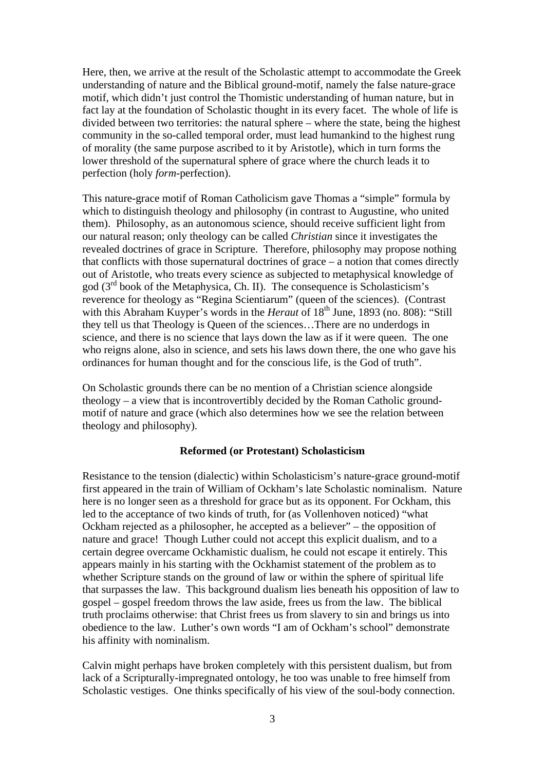Here, then, we arrive at the result of the Scholastic attempt to accommodate the Greek understanding of nature and the Biblical ground-motif, namely the false nature-grace motif, which didn't just control the Thomistic understanding of human nature, but in fact lay at the foundation of Scholastic thought in its every facet. The whole of life is divided between two territories: the natural sphere – where the state, being the highest community in the so-called temporal order, must lead humankind to the highest rung of morality (the same purpose ascribed to it by Aristotle), which in turn forms the lower threshold of the supernatural sphere of grace where the church leads it to perfection (holy *form-*perfection).

This nature-grace motif of Roman Catholicism gave Thomas a "simple" formula by which to distinguish theology and philosophy (in contrast to Augustine, who united them). Philosophy, as an autonomous science, should receive sufficient light from our natural reason; only theology can be called *Christian* since it investigates the revealed doctrines of grace in Scripture. Therefore, philosophy may propose nothing that conflicts with those supernatural doctrines of grace – a notion that comes directly out of Aristotle, who treats every science as subjected to metaphysical knowledge of god (3rd book of the Metaphysica, Ch. II). The consequence is Scholasticism's reverence for theology as "Regina Scientiarum" (queen of the sciences). (Contrast with this Abraham Kuyper's words in the *Heraut* of 18<sup>th</sup> June, 1893 (no. 808): "Still they tell us that Theology is Queen of the sciences…There are no underdogs in science, and there is no science that lays down the law as if it were queen. The one who reigns alone, also in science, and sets his laws down there, the one who gave his ordinances for human thought and for the conscious life, is the God of truth".

On Scholastic grounds there can be no mention of a Christian science alongside theology – a view that is incontrovertibly decided by the Roman Catholic groundmotif of nature and grace (which also determines how we see the relation between theology and philosophy).

## **Reformed (or Protestant) Scholasticism**

Resistance to the tension (dialectic) within Scholasticism's nature-grace ground-motif first appeared in the train of William of Ockham's late Scholastic nominalism. Nature here is no longer seen as a threshold for grace but as its opponent. For Ockham, this led to the acceptance of two kinds of truth, for (as Vollenhoven noticed) "what Ockham rejected as a philosopher, he accepted as a believer" – the opposition of nature and grace! Though Luther could not accept this explicit dualism, and to a certain degree overcame Ockhamistic dualism, he could not escape it entirely. This appears mainly in his starting with the Ockhamist statement of the problem as to whether Scripture stands on the ground of law or within the sphere of spiritual life that surpasses the law. This background dualism lies beneath his opposition of law to gospel – gospel freedom throws the law aside, frees us from the law. The biblical truth proclaims otherwise: that Christ frees us from slavery to sin and brings us into obedience to the law. Luther's own words "I am of Ockham's school" demonstrate his affinity with nominalism.

Calvin might perhaps have broken completely with this persistent dualism, but from lack of a Scripturally-impregnated ontology, he too was unable to free himself from Scholastic vestiges. One thinks specifically of his view of the soul-body connection.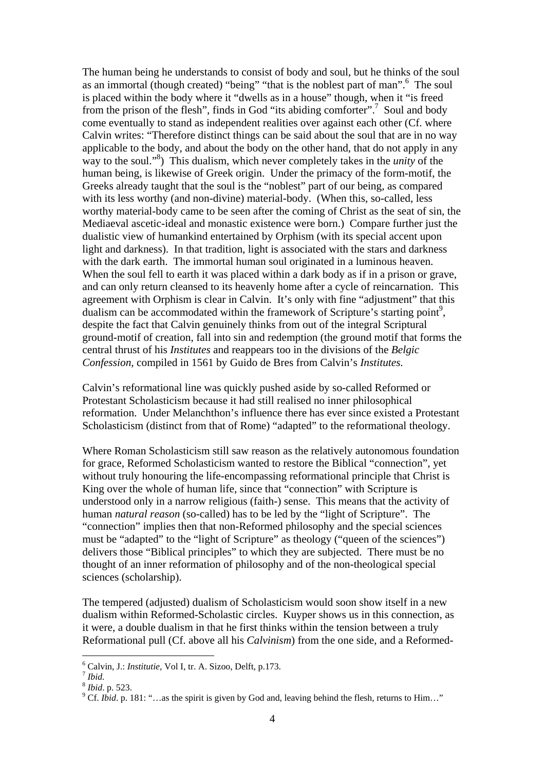The human being he understands to consist of body and soul, but he thinks of the soul as an immortal (though created) "being" "that is the noblest part of man".<sup>6</sup> The soul is placed within the body where it "dwells as in a house" though, when it "is freed from the prison of the flesh", finds in God "its abiding comforter".<sup>7</sup> Soul and body come eventually to stand as independent realities over against each other (Cf. where Calvin writes: "Therefore distinct things can be said about the soul that are in no way applicable to the body, and about the body on the other hand, that do not apply in any way to the soul."<sup>8</sup>) This dualism, which never completely takes in the *unity* of the human being, is likewise of Greek origin. Under the primacy of the form-motif, the Greeks already taught that the soul is the "noblest" part of our being, as compared with its less worthy (and non-divine) material-body. (When this, so-called, less worthy material-body came to be seen after the coming of Christ as the seat of sin, the Mediaeval ascetic-ideal and monastic existence were born.) Compare further just the dualistic view of humankind entertained by Orphism (with its special accent upon light and darkness). In that tradition, light is associated with the stars and darkness with the dark earth. The immortal human soul originated in a luminous heaven. When the soul fell to earth it was placed within a dark body as if in a prison or grave, and can only return cleansed to its heavenly home after a cycle of reincarnation. This agreement with Orphism is clear in Calvin. It's only with fine "adjustment" that this dualism can be accommodated within the framework of Scripture's starting point<sup>9</sup>, despite the fact that Calvin genuinely thinks from out of the integral Scriptural ground-motif of creation, fall into sin and redemption (the ground motif that forms the central thrust of his *Institutes* and reappears too in the divisions of the *Belgic Confession,* compiled in 1561 by Guido de Bres from Calvin's *Institutes.* 

Calvin's reformational line was quickly pushed aside by so-called Reformed or Protestant Scholasticism because it had still realised no inner philosophical reformation. Under Melanchthon's influence there has ever since existed a Protestant Scholasticism (distinct from that of Rome) "adapted" to the reformational theology.

Where Roman Scholasticism still saw reason as the relatively autonomous foundation for grace, Reformed Scholasticism wanted to restore the Biblical "connection", yet without truly honouring the life-encompassing reformational principle that Christ is King over the whole of human life, since that "connection" with Scripture is understood only in a narrow religious (faith-) sense. This means that the activity of human *natural reason* (so-called) has to be led by the "light of Scripture". The "connection" implies then that non-Reformed philosophy and the special sciences must be "adapted" to the "light of Scripture" as theology ("queen of the sciences") delivers those "Biblical principles" to which they are subjected. There must be no thought of an inner reformation of philosophy and of the non-theological special sciences (scholarship).

The tempered (adjusted) dualism of Scholasticism would soon show itself in a new dualism within Reformed-Scholastic circles. Kuyper shows us in this connection, as it were, a double dualism in that he first thinks within the tension between a truly Reformational pull (Cf. above all his *Calvinism*) from the one side, and a Reformed-

<sup>&</sup>lt;sup>6</sup> Calvin, J.: *Institutie*, Vol I, tr. A. Sizoo, Delft, p.173.<br><sup>7</sup> *Ibid.* 

*r Ibid.*<br><sup>8</sup> *Ibid.* p. 523.

<sup>&</sup>lt;sup>9</sup> Cf. *Ibid.* p. 181: "...as the spirit is given by God and, leaving behind the flesh, returns to Him..."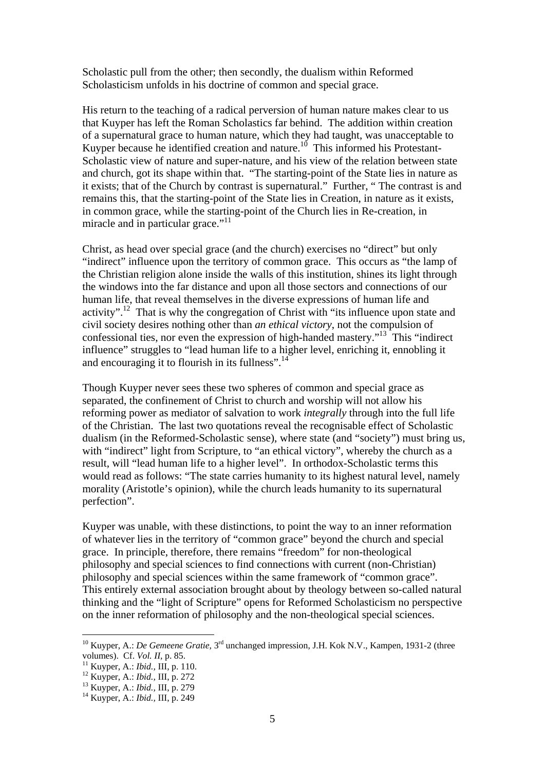Scholastic pull from the other; then secondly, the dualism within Reformed Scholasticism unfolds in his doctrine of common and special grace.

His return to the teaching of a radical perversion of human nature makes clear to us that Kuyper has left the Roman Scholastics far behind. The addition within creation of a supernatural grace to human nature, which they had taught, was unacceptable to Kuyper because he identified creation and nature.<sup>10</sup> This informed his Protestant-Scholastic view of nature and super-nature, and his view of the relation between state and church, got its shape within that. "The starting-point of the State lies in nature as it exists; that of the Church by contrast is supernatural." Further, " The contrast is and remains this, that the starting-point of the State lies in Creation, in nature as it exists, in common grace, while the starting-point of the Church lies in Re-creation, in miracle and in particular grace."<sup>11</sup>

Christ, as head over special grace (and the church) exercises no "direct" but only "indirect" influence upon the territory of common grace. This occurs as "the lamp of the Christian religion alone inside the walls of this institution, shines its light through the windows into the far distance and upon all those sectors and connections of our human life, that reveal themselves in the diverse expressions of human life and activity".<sup>12</sup> That is why the congregation of Christ with "its influence upon state and civil society desires nothing other than *an ethical victory*, not the compulsion of confessional ties, nor even the expression of high-handed mastery."13 This "indirect influence" struggles to "lead human life to a higher level, enriching it, ennobling it and encouraging it to flourish in its fullness".<sup>14</sup>

Though Kuyper never sees these two spheres of common and special grace as separated, the confinement of Christ to church and worship will not allow his reforming power as mediator of salvation to work *integrally* through into the full life of the Christian. The last two quotations reveal the recognisable effect of Scholastic dualism (in the Reformed-Scholastic sense), where state (and "society") must bring us, with "indirect" light from Scripture, to "an ethical victory", whereby the church as a result, will "lead human life to a higher level". In orthodox-Scholastic terms this would read as follows: "The state carries humanity to its highest natural level, namely morality (Aristotle's opinion), while the church leads humanity to its supernatural perfection".

Kuyper was unable, with these distinctions, to point the way to an inner reformation of whatever lies in the territory of "common grace" beyond the church and special grace. In principle, therefore, there remains "freedom" for non-theological philosophy and special sciences to find connections with current (non-Christian) philosophy and special sciences within the same framework of "common grace". This entirely external association brought about by theology between so-called natural thinking and the "light of Scripture" opens for Reformed Scholasticism no perspective on the inner reformation of philosophy and the non-theological special sciences.

<sup>&</sup>lt;sup>10</sup> Kuyper, A.: *De Gemeene Gratie*, 3<sup>rd</sup> unchanged impression, J.H. Kok N.V., Kampen, 1931-2 (three volumes). Cf. *Vol. II*, p. 85.

<sup>&</sup>lt;sup>11</sup> Kuyper, A.: *Ibid.*, III, p. 110.<br><sup>12</sup> Kuyper, A.: *Ibid.*, III, p. 272<br><sup>13</sup> Kuyper, A.: *Ibid.*, III, p. 279<br><sup>14</sup> Kuyper, A.: *Ibid.*, III, p. 249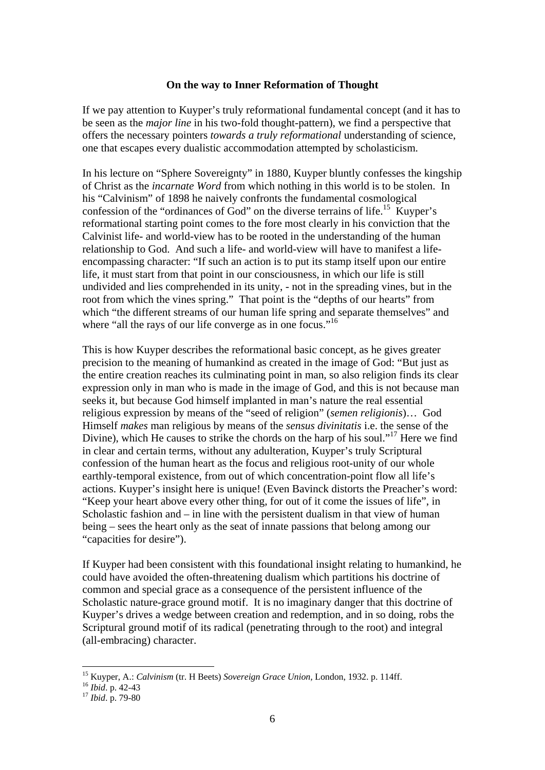#### **On the way to Inner Reformation of Thought**

If we pay attention to Kuyper's truly reformational fundamental concept (and it has to be seen as the *major line* in his two-fold thought-pattern), we find a perspective that offers the necessary pointers *towards a truly reformational* understanding of science, one that escapes every dualistic accommodation attempted by scholasticism.

In his lecture on "Sphere Sovereignty" in 1880, Kuyper bluntly confesses the kingship of Christ as the *incarnate Word* from which nothing in this world is to be stolen. In his "Calvinism" of 1898 he naively confronts the fundamental cosmological confession of the "ordinances of God" on the diverse terrains of life.<sup>15</sup> Kuyper's reformational starting point comes to the fore most clearly in his conviction that the Calvinist life- and world-view has to be rooted in the understanding of the human relationship to God. And such a life- and world-view will have to manifest a lifeencompassing character: "If such an action is to put its stamp itself upon our entire life, it must start from that point in our consciousness, in which our life is still undivided and lies comprehended in its unity, - not in the spreading vines, but in the root from which the vines spring." That point is the "depths of our hearts" from which "the different streams of our human life spring and separate themselves" and where "all the rays of our life converge as in one focus."<sup>16</sup>

This is how Kuyper describes the reformational basic concept, as he gives greater precision to the meaning of humankind as created in the image of God: "But just as the entire creation reaches its culminating point in man, so also religion finds its clear expression only in man who is made in the image of God, and this is not because man seeks it, but because God himself implanted in man's nature the real essential religious expression by means of the "seed of religion" (*semen religionis*)… God Himself *makes* man religious by means of the *sensus divinitatis* i.e. the sense of the Divine), which He causes to strike the chords on the harp of his soul."<sup>17</sup> Here we find in clear and certain terms, without any adulteration, Kuyper's truly Scriptural confession of the human heart as the focus and religious root-unity of our whole earthly-temporal existence, from out of which concentration-point flow all life's actions. Kuyper's insight here is unique! (Even Bavinck distorts the Preacher's word: "Keep your heart above every other thing, for out of it come the issues of life", in Scholastic fashion and – in line with the persistent dualism in that view of human being – sees the heart only as the seat of innate passions that belong among our "capacities for desire").

If Kuyper had been consistent with this foundational insight relating to humankind, he could have avoided the often-threatening dualism which partitions his doctrine of common and special grace as a consequence of the persistent influence of the Scholastic nature-grace ground motif. It is no imaginary danger that this doctrine of Kuyper's drives a wedge between creation and redemption, and in so doing, robs the Scriptural ground motif of its radical (penetrating through to the root) and integral (all-embracing) character.

<sup>15</sup> Kuyper, A.: *Calvinism* (tr. H Beets) *Sovereign Grace Union,* London, 1932. p. 114ff. <sup>16</sup> *Ibid*. p. 42-43 17 *Ibid*. p. 79-80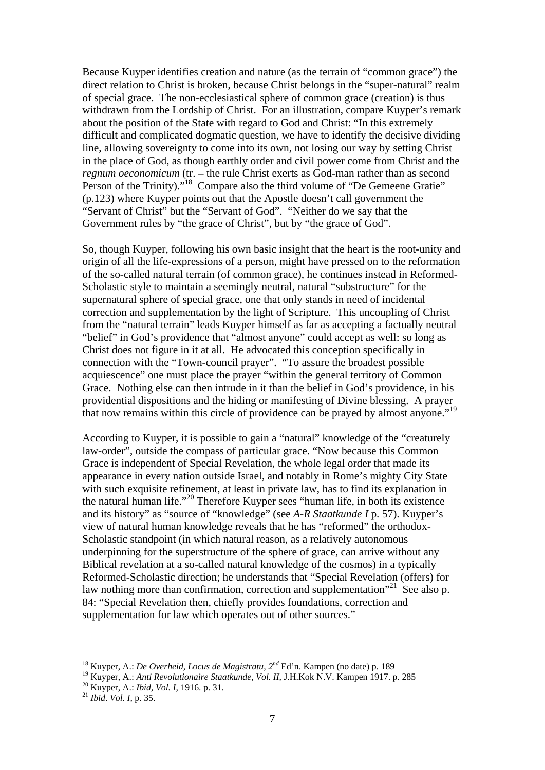Because Kuyper identifies creation and nature (as the terrain of "common grace") the direct relation to Christ is broken, because Christ belongs in the "super-natural" realm of special grace. The non-ecclesiastical sphere of common grace (creation) is thus withdrawn from the Lordship of Christ. For an illustration, compare Kuyper's remark about the position of the State with regard to God and Christ: "In this extremely difficult and complicated dogmatic question, we have to identify the decisive dividing line, allowing sovereignty to come into its own, not losing our way by setting Christ in the place of God, as though earthly order and civil power come from Christ and the *regnum oeconomicum* (tr. – the rule Christ exerts as God-man rather than as second Person of the Trinity)."<sup>18</sup> Compare also the third volume of "De Gemeene Gratie" (p.123) where Kuyper points out that the Apostle doesn't call government the "Servant of Christ" but the "Servant of God". "Neither do we say that the Government rules by "the grace of Christ", but by "the grace of God".

So, though Kuyper, following his own basic insight that the heart is the root-unity and origin of all the life-expressions of a person, might have pressed on to the reformation of the so-called natural terrain (of common grace), he continues instead in Reformed-Scholastic style to maintain a seemingly neutral, natural "substructure" for the supernatural sphere of special grace, one that only stands in need of incidental correction and supplementation by the light of Scripture. This uncoupling of Christ from the "natural terrain" leads Kuyper himself as far as accepting a factually neutral "belief" in God's providence that "almost anyone" could accept as well: so long as Christ does not figure in it at all. He advocated this conception specifically in connection with the "Town-council prayer". "To assure the broadest possible acquiescence" one must place the prayer "within the general territory of Common Grace. Nothing else can then intrude in it than the belief in God's providence, in his providential dispositions and the hiding or manifesting of Divine blessing. A prayer that now remains within this circle of providence can be prayed by almost anyone."19

According to Kuyper, it is possible to gain a "natural" knowledge of the "creaturely law-order", outside the compass of particular grace. "Now because this Common Grace is independent of Special Revelation, the whole legal order that made its appearance in every nation outside Israel, and notably in Rome's mighty City State with such exquisite refinement, at least in private law, has to find its explanation in the natural human life."20 Therefore Kuyper sees "human life, in both its existence and its history" as "source of "knowledge" (see *A-R Staatkunde I* p. 57). Kuyper's view of natural human knowledge reveals that he has "reformed" the orthodox-Scholastic standpoint (in which natural reason, as a relatively autonomous underpinning for the superstructure of the sphere of grace, can arrive without any Biblical revelation at a so-called natural knowledge of the cosmos) in a typically Reformed-Scholastic direction; he understands that "Special Revelation (offers) for law nothing more than confirmation, correction and supplementation<sup> $21$ </sup> See also p. 84: "Special Revelation then, chiefly provides foundations, correction and supplementation for law which operates out of other sources."

<sup>18</sup> Kuyper, A.: *De Overheid, Locus de Magistratu, 2nd* Ed'n. Kampen (no date) p. 189

<sup>&</sup>lt;sup>19</sup> Kuyper, A.: *Anti Revolutionaire Staatkunde, Vol. II, J.H.Kok N.V. Kampen 1917. p. 285* <sup>20</sup> Kuyper, A.: *Ibid, Vol. I, 1916. p. 31.* <sup>21</sup> *Ibid. Vol. I, p. 35.*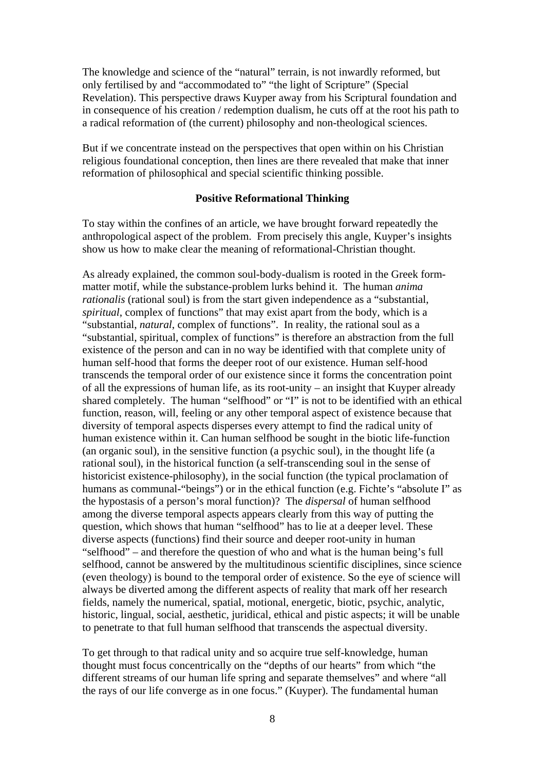The knowledge and science of the "natural" terrain, is not inwardly reformed, but only fertilised by and "accommodated to" "the light of Scripture" (Special Revelation). This perspective draws Kuyper away from his Scriptural foundation and in consequence of his creation / redemption dualism, he cuts off at the root his path to a radical reformation of (the current) philosophy and non-theological sciences.

But if we concentrate instead on the perspectives that open within on his Christian religious foundational conception, then lines are there revealed that make that inner reformation of philosophical and special scientific thinking possible.

# **Positive Reformational Thinking**

To stay within the confines of an article, we have brought forward repeatedly the anthropological aspect of the problem. From precisely this angle, Kuyper's insights show us how to make clear the meaning of reformational-Christian thought.

As already explained, the common soul-body-dualism is rooted in the Greek formmatter motif, while the substance-problem lurks behind it. The human *anima rationalis* (rational soul) is from the start given independence as a "substantial, *spiritual*, complex of functions" that may exist apart from the body, which is a "substantial, *natural*, complex of functions". In reality, the rational soul as a "substantial, spiritual, complex of functions" is therefore an abstraction from the full existence of the person and can in no way be identified with that complete unity of human self-hood that forms the deeper root of our existence. Human self-hood transcends the temporal order of our existence since it forms the concentration point of all the expressions of human life, as its root-unity – an insight that Kuyper already shared completely. The human "selfhood" or "I" is not to be identified with an ethical function, reason, will, feeling or any other temporal aspect of existence because that diversity of temporal aspects disperses every attempt to find the radical unity of human existence within it. Can human selfhood be sought in the biotic life-function (an organic soul), in the sensitive function (a psychic soul), in the thought life (a rational soul), in the historical function (a self-transcending soul in the sense of historicist existence-philosophy), in the social function (the typical proclamation of humans as communal-"beings") or in the ethical function (e.g. Fichte's "absolute I" as the hypostasis of a person's moral function)? The *dispersal* of human selfhood among the diverse temporal aspects appears clearly from this way of putting the question, which shows that human "selfhood" has to lie at a deeper level. These diverse aspects (functions) find their source and deeper root-unity in human "selfhood" – and therefore the question of who and what is the human being's full selfhood, cannot be answered by the multitudinous scientific disciplines, since science (even theology) is bound to the temporal order of existence. So the eye of science will always be diverted among the different aspects of reality that mark off her research fields, namely the numerical, spatial, motional, energetic, biotic, psychic, analytic, historic, lingual, social, aesthetic, juridical, ethical and pistic aspects; it will be unable to penetrate to that full human selfhood that transcends the aspectual diversity.

To get through to that radical unity and so acquire true self-knowledge, human thought must focus concentrically on the "depths of our hearts" from which "the different streams of our human life spring and separate themselves" and where "all the rays of our life converge as in one focus." (Kuyper). The fundamental human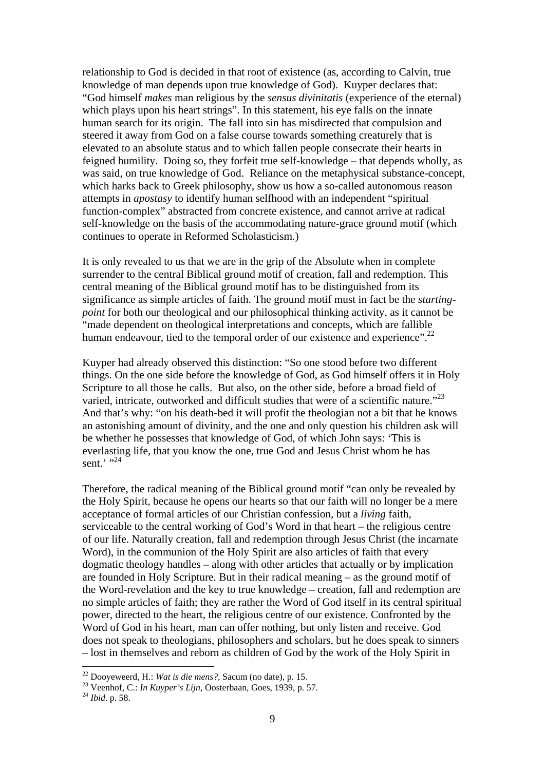relationship to God is decided in that root of existence (as, according to Calvin, true knowledge of man depends upon true knowledge of God). Kuyper declares that: "God himself *makes* man religious by the *sensus divinitatis* (experience of the eternal) which plays upon his heart strings". In this statement, his eye falls on the innate human search for its origin. The fall into sin has misdirected that compulsion and steered it away from God on a false course towards something creaturely that is elevated to an absolute status and to which fallen people consecrate their hearts in feigned humility. Doing so, they forfeit true self-knowledge – that depends wholly, as was said, on true knowledge of God. Reliance on the metaphysical substance-concept, which harks back to Greek philosophy, show us how a so-called autonomous reason attempts in *apostasy* to identify human selfhood with an independent "spiritual function-complex" abstracted from concrete existence, and cannot arrive at radical self-knowledge on the basis of the accommodating nature-grace ground motif (which continues to operate in Reformed Scholasticism.)

It is only revealed to us that we are in the grip of the Absolute when in complete surrender to the central Biblical ground motif of creation, fall and redemption. This central meaning of the Biblical ground motif has to be distinguished from its significance as simple articles of faith. The ground motif must in fact be the *startingpoint* for both our theological and our philosophical thinking activity, as it cannot be "made dependent on theological interpretations and concepts, which are fallible human endeavour, tied to the temporal order of our existence and experience".<sup>22</sup>

Kuyper had already observed this distinction: "So one stood before two different things. On the one side before the knowledge of God, as God himself offers it in Holy Scripture to all those he calls. But also, on the other side, before a broad field of varied, intricate, outworked and difficult studies that were of a scientific nature."<sup>23</sup> And that's why: "on his death-bed it will profit the theologian not a bit that he knows an astonishing amount of divinity, and the one and only question his children ask will be whether he possesses that knowledge of God, of which John says: 'This is everlasting life, that you know the one, true God and Jesus Christ whom he has sent.<sup>'</sup> ..24

Therefore, the radical meaning of the Biblical ground motif "can only be revealed by the Holy Spirit, because he opens our hearts so that our faith will no longer be a mere acceptance of formal articles of our Christian confession, but a *living* faith, serviceable to the central working of God's Word in that heart – the religious centre of our life. Naturally creation, fall and redemption through Jesus Christ (the incarnate Word), in the communion of the Holy Spirit are also articles of faith that every dogmatic theology handles – along with other articles that actually or by implication are founded in Holy Scripture. But in their radical meaning – as the ground motif of the Word-revelation and the key to true knowledge – creation, fall and redemption are no simple articles of faith; they are rather the Word of God itself in its central spiritual power, directed to the heart, the religious centre of our existence. Confronted by the Word of God in his heart, man can offer nothing, but only listen and receive. God does not speak to theologians, philosophers and scholars, but he does speak to sinners – lost in themselves and reborn as children of God by the work of the Holy Spirit in

<sup>22</sup> Dooyeweerd, H.: *Wat is die mens?,* Sacum (no date), p. 15. 23 Veenhof, C.: *In Kuyper's Lijn,* Oosterbaan, Goes, 1939, p. 57. 24 *Ibid*. p. 58.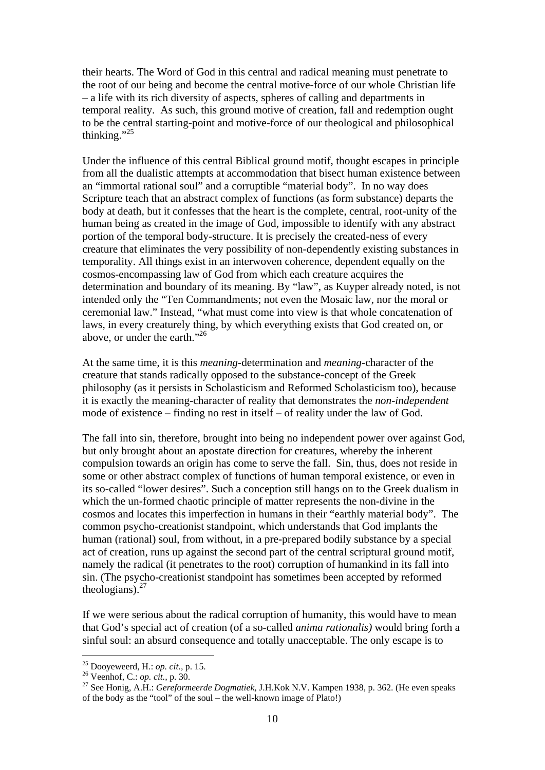their hearts. The Word of God in this central and radical meaning must penetrate to the root of our being and become the central motive-force of our whole Christian life – a life with its rich diversity of aspects, spheres of calling and departments in temporal reality. As such, this ground motive of creation, fall and redemption ought to be the central starting-point and motive-force of our theological and philosophical thinking." $^{25}$ 

Under the influence of this central Biblical ground motif, thought escapes in principle from all the dualistic attempts at accommodation that bisect human existence between an "immortal rational soul" and a corruptible "material body". In no way does Scripture teach that an abstract complex of functions (as form substance) departs the body at death, but it confesses that the heart is the complete, central, root-unity of the human being as created in the image of God, impossible to identify with any abstract portion of the temporal body-structure. It is precisely the created-ness of every creature that eliminates the very possibility of non-dependently existing substances in temporality. All things exist in an interwoven coherence, dependent equally on the cosmos-encompassing law of God from which each creature acquires the determination and boundary of its meaning. By "law", as Kuyper already noted, is not intended only the "Ten Commandments; not even the Mosaic law, nor the moral or ceremonial law." Instead, "what must come into view is that whole concatenation of laws, in every creaturely thing, by which everything exists that God created on, or above, or under the earth."26

At the same time, it is this *meaning*-determination and *meaning*-character of the creature that stands radically opposed to the substance-concept of the Greek philosophy (as it persists in Scholasticism and Reformed Scholasticism too), because it is exactly the meaning-character of reality that demonstrates the *non-independent*  mode of existence – finding no rest in itself – of reality under the law of God.

The fall into sin, therefore, brought into being no independent power over against God, but only brought about an apostate direction for creatures, whereby the inherent compulsion towards an origin has come to serve the fall. Sin, thus, does not reside in some or other abstract complex of functions of human temporal existence, or even in its so-called "lower desires". Such a conception still hangs on to the Greek dualism in which the un-formed chaotic principle of matter represents the non-divine in the cosmos and locates this imperfection in humans in their "earthly material body". The common psycho-creationist standpoint, which understands that God implants the human (rational) soul, from without, in a pre-prepared bodily substance by a special act of creation, runs up against the second part of the central scriptural ground motif, namely the radical (it penetrates to the root) corruption of humankind in its fall into sin. (The psycho-creationist standpoint has sometimes been accepted by reformed theologians). $27$ 

If we were serious about the radical corruption of humanity, this would have to mean that God's special act of creation (of a so-called *anima rationalis)* would bring forth a sinful soul: an absurd consequence and totally unacceptable. The only escape is to

<sup>&</sup>lt;sup>25</sup> Dooyeweerd, H.: *op. cit.*, p. 15.<br><sup>26</sup> Veenhof, C.: *op. cit.*, p. 30.<br><sup>27</sup> See Honig, A.H.: *Gereformeerde Dogmatiek*, J.H.Kok N.V. Kampen 1938, p. 362. (He even speaks of the body as the "tool" of the soul – the well-known image of Plato!)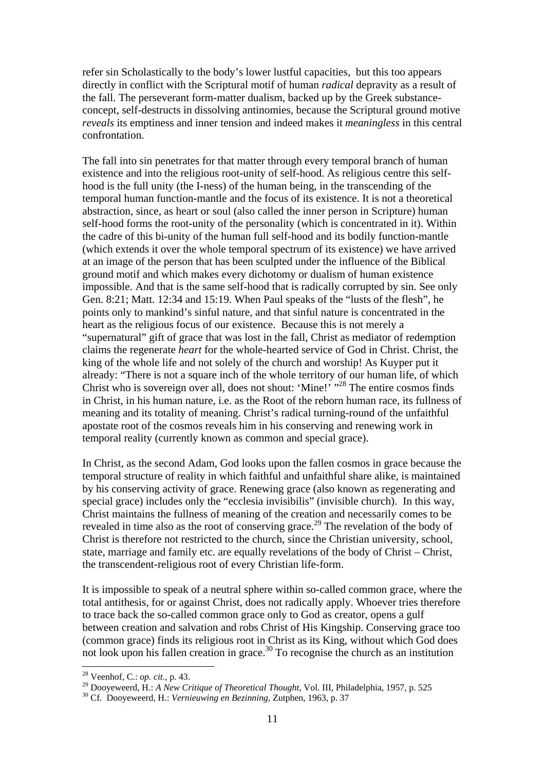refer sin Scholastically to the body's lower lustful capacities, but this too appears directly in conflict with the Scriptural motif of human *radical* depravity as a result of the fall. The perseverant form-matter dualism, backed up by the Greek substanceconcept, self-destructs in dissolving antinomies, because the Scriptural ground motive *reveals* its emptiness and inner tension and indeed makes it *meaningless* in this central confrontation.

The fall into sin penetrates for that matter through every temporal branch of human existence and into the religious root-unity of self-hood. As religious centre this selfhood is the full unity (the I-ness) of the human being, in the transcending of the temporal human function-mantle and the focus of its existence. It is not a theoretical abstraction, since, as heart or soul (also called the inner person in Scripture) human self-hood forms the root-unity of the personality (which is concentrated in it). Within the cadre of this bi-unity of the human full self-hood and its bodily function-mantle (which extends it over the whole temporal spectrum of its existence) we have arrived at an image of the person that has been sculpted under the influence of the Biblical ground motif and which makes every dichotomy or dualism of human existence impossible. And that is the same self-hood that is radically corrupted by sin. See only Gen. 8:21; Matt. 12:34 and 15:19. When Paul speaks of the "lusts of the flesh", he points only to mankind's sinful nature, and that sinful nature is concentrated in the heart as the religious focus of our existence. Because this is not merely a "supernatural" gift of grace that was lost in the fall, Christ as mediator of redemption claims the regenerate *heart* for the whole-hearted service of God in Christ. Christ, the king of the whole life and not solely of the church and worship! As Kuyper put it already: "There is not a square inch of the whole territory of our human life, of which Christ who is sovereign over all, does not shout: 'Mine!' "<sup>28</sup> The entire cosmos finds in Christ, in his human nature, i.e. as the Root of the reborn human race, its fullness of meaning and its totality of meaning. Christ's radical turning-round of the unfaithful apostate root of the cosmos reveals him in his conserving and renewing work in temporal reality (currently known as common and special grace).

In Christ, as the second Adam, God looks upon the fallen cosmos in grace because the temporal structure of reality in which faithful and unfaithful share alike, is maintained by his conserving activity of grace. Renewing grace (also known as regenerating and special grace) includes only the "ecclesia invisibilis" (invisible church). In this way, Christ maintains the fullness of meaning of the creation and necessarily comes to be revealed in time also as the root of conserving grace.<sup>29</sup> The revelation of the body of Christ is therefore not restricted to the church, since the Christian university, school, state, marriage and family etc. are equally revelations of the body of Christ – Christ, the transcendent-religious root of every Christian life-form.

It is impossible to speak of a neutral sphere within so-called common grace, where the total antithesis, for or against Christ, does not radically apply. Whoever tries therefore to trace back the so-called common grace only to God as creator, opens a gulf between creation and salvation and robs Christ of His Kingship. Conserving grace too (common grace) finds its religious root in Christ as its King, without which God does not look upon his fallen creation in grace.<sup>30</sup> To recognise the church as an institution

<sup>28</sup> Veenhof, C.: *op. cit.,* p. 43.

<sup>&</sup>lt;sup>29</sup> Dooyeweerd, H.: *A New Critique of Theoretical Thought*, Vol. III, Philadelphia, 1957, p. 525<br><sup>30</sup> Cf. Dooveweerd, H.: *Vernieuwing en Bezinning*, Zutphen, 1963, p. 37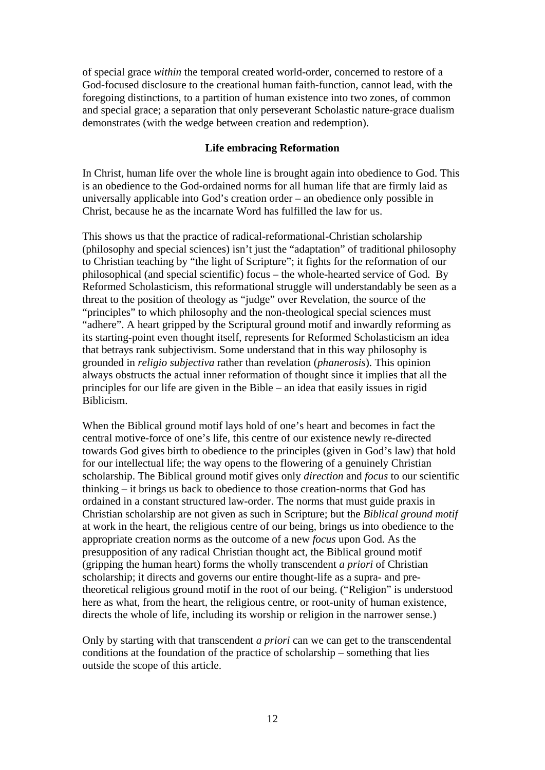of special grace *within* the temporal created world-order, concerned to restore of a God-focused disclosure to the creational human faith-function, cannot lead, with the foregoing distinctions, to a partition of human existence into two zones, of common and special grace; a separation that only perseverant Scholastic nature-grace dualism demonstrates (with the wedge between creation and redemption).

## **Life embracing Reformation**

In Christ, human life over the whole line is brought again into obedience to God. This is an obedience to the God-ordained norms for all human life that are firmly laid as universally applicable into God's creation order – an obedience only possible in Christ, because he as the incarnate Word has fulfilled the law for us.

This shows us that the practice of radical-reformational-Christian scholarship (philosophy and special sciences) isn't just the "adaptation" of traditional philosophy to Christian teaching by "the light of Scripture"; it fights for the reformation of our philosophical (and special scientific) focus – the whole-hearted service of God. By Reformed Scholasticism, this reformational struggle will understandably be seen as a threat to the position of theology as "judge" over Revelation, the source of the "principles" to which philosophy and the non-theological special sciences must "adhere". A heart gripped by the Scriptural ground motif and inwardly reforming as its starting-point even thought itself, represents for Reformed Scholasticism an idea that betrays rank subjectivism. Some understand that in this way philosophy is grounded in *religio subjectiva* rather than revelation (*phanerosis*). This opinion always obstructs the actual inner reformation of thought since it implies that all the principles for our life are given in the Bible – an idea that easily issues in rigid Biblicism.

When the Biblical ground motif lays hold of one's heart and becomes in fact the central motive-force of one's life, this centre of our existence newly re-directed towards God gives birth to obedience to the principles (given in God's law) that hold for our intellectual life; the way opens to the flowering of a genuinely Christian scholarship. The Biblical ground motif gives only *direction* and *focus* to our scientific thinking – it brings us back to obedience to those creation-norms that God has ordained in a constant structured law-order. The norms that must guide praxis in Christian scholarship are not given as such in Scripture; but the *Biblical ground motif* at work in the heart, the religious centre of our being, brings us into obedience to the appropriate creation norms as the outcome of a new *focus* upon God. As the presupposition of any radical Christian thought act, the Biblical ground motif (gripping the human heart) forms the wholly transcendent *a priori* of Christian scholarship; it directs and governs our entire thought-life as a supra- and pretheoretical religious ground motif in the root of our being. ("Religion" is understood here as what, from the heart, the religious centre, or root-unity of human existence, directs the whole of life, including its worship or religion in the narrower sense.)

Only by starting with that transcendent *a priori* can we can get to the transcendental conditions at the foundation of the practice of scholarship – something that lies outside the scope of this article.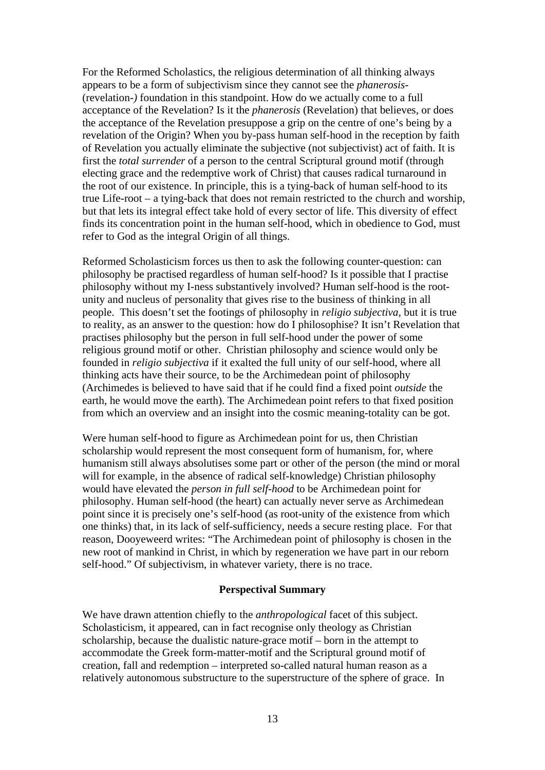For the Reformed Scholastics, the religious determination of all thinking always appears to be a form of subjectivism since they cannot see the *phanerosis-*  (revelation*-)* foundation in this standpoint. How do we actually come to a full acceptance of the Revelation? Is it the *phanerosis* (Revelation) that believes, or does the acceptance of the Revelation presuppose a grip on the centre of one's being by a revelation of the Origin? When you by-pass human self-hood in the reception by faith of Revelation you actually eliminate the subjective (not subjectivist) act of faith. It is first the *total surrender* of a person to the central Scriptural ground motif (through electing grace and the redemptive work of Christ) that causes radical turnaround in the root of our existence. In principle, this is a tying-back of human self-hood to its true Life-root – a tying-back that does not remain restricted to the church and worship, but that lets its integral effect take hold of every sector of life. This diversity of effect finds its concentration point in the human self-hood, which in obedience to God, must refer to God as the integral Origin of all things.

Reformed Scholasticism forces us then to ask the following counter-question: can philosophy be practised regardless of human self-hood? Is it possible that I practise philosophy without my I-ness substantively involved? Human self-hood is the rootunity and nucleus of personality that gives rise to the business of thinking in all people. This doesn't set the footings of philosophy in *religio subjectiva*, but it is true to reality, as an answer to the question: how do I philosophise? It isn't Revelation that practises philosophy but the person in full self-hood under the power of some religious ground motif or other. Christian philosophy and science would only be founded in *religio subjectiva* if it exalted the full unity of our self-hood, where all thinking acts have their source, to be the Archimedean point of philosophy (Archimedes is believed to have said that if he could find a fixed point *outside* the earth, he would move the earth). The Archimedean point refers to that fixed position from which an overview and an insight into the cosmic meaning-totality can be got.

Were human self-hood to figure as Archimedean point for us, then Christian scholarship would represent the most consequent form of humanism, for, where humanism still always absolutises some part or other of the person (the mind or moral will for example, in the absence of radical self-knowledge) Christian philosophy would have elevated the *person in full self-hood* to be Archimedean point for philosophy. Human self-hood (the heart) can actually never serve as Archimedean point since it is precisely one's self-hood (as root-unity of the existence from which one thinks) that, in its lack of self-sufficiency, needs a secure resting place. For that reason, Dooyeweerd writes: "The Archimedean point of philosophy is chosen in the new root of mankind in Christ, in which by regeneration we have part in our reborn self-hood." Of subjectivism, in whatever variety, there is no trace.

## **Perspectival Summary**

We have drawn attention chiefly to the *anthropological* facet of this subject. Scholasticism, it appeared, can in fact recognise only theology as Christian scholarship, because the dualistic nature-grace motif – born in the attempt to accommodate the Greek form-matter-motif and the Scriptural ground motif of creation, fall and redemption – interpreted so-called natural human reason as a relatively autonomous substructure to the superstructure of the sphere of grace. In